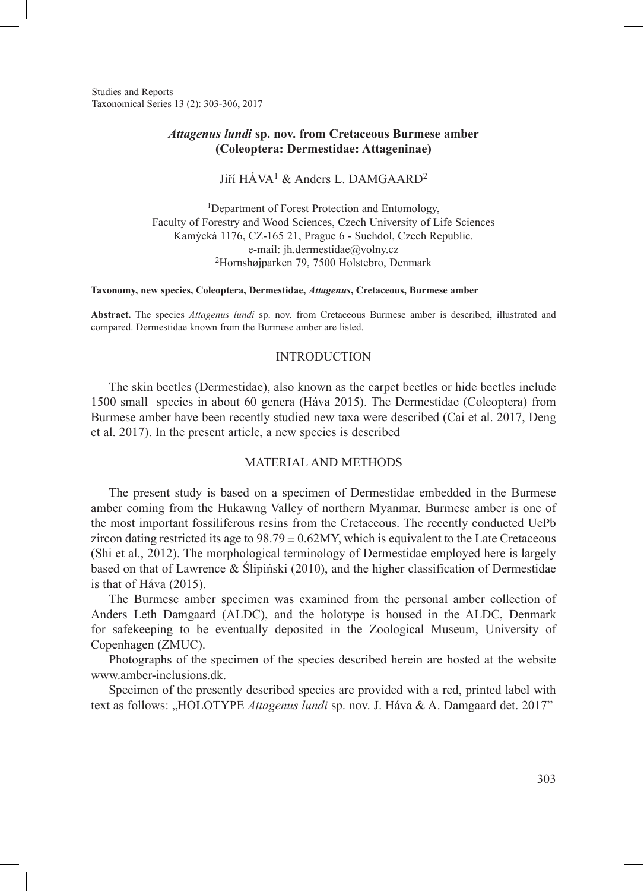Studies and Reports Taxonomical Series 13 (2): 303-306, 2017

### *Attagenus lundi* **sp. nov. from Cretaceous Burmese amber (Coleoptera: Dermestidae: Attageninae)**

Jiří HÁVA<sup>1</sup> & Anders L. DAMGAARD<sup>2</sup>

<sup>1</sup>Department of Forest Protection and Entomology, Faculty of Forestry and Wood Sciences, Czech University of Life Sciences Kamýcká 1176, CZ-165 21, Prague 6 - Suchdol, Czech Republic. e-mail: jh.dermestidae@volny.cz <sup>2</sup>Hornshøjparken 79, 7500 Holstebro, Denmark

#### **Taxonomy, new species, Coleoptera, Dermestidae,** *Attagenus***, Cretaceous, Burmese amber**

**Abstract.** The species *Attagenus lundi* sp. nov. from Cretaceous Burmese amber is described, illustrated and compared. Dermestidae known from the Burmese amber are listed.

### INTRODUCTION

The skin beetles (Dermestidae), also known as the carpet beetles or hide beetles include 1500 small species in about 60 genera (Háva 2015). The Dermestidae (Coleoptera) from Burmese amber have been recently studied new taxa were described (Cai et al. 2017, Deng et al. 2017). In the present article, a new species is described

### MATERIAL AND METHODS

The present study is based on a specimen of Dermestidae embedded in the Burmese amber coming from the Hukawng Valley of northern Myanmar. Burmese amber is one of the most important fossiliferous resins from the Cretaceous. The recently conducted UePb zircon dating restricted its age to  $98.79 \pm 0.62$  MY, which is equivalent to the Late Cretaceous (Shi et al., 2012). The morphological terminology of Dermestidae employed here is largely based on that of Lawrence & Ślipiński (2010), and the higher classification of Dermestidae is that of Háva (2015).

The Burmese amber specimen was examined from the personal amber collection of Anders Leth Damgaard (ALDC), and the holotype is housed in the ALDC, Denmark for safekeeping to be eventually deposited in the Zoological Museum, University of Copenhagen (ZMUC).

Photographs of the specimen of the species described herein are hosted at the website www.amber-inclusions.dk.

Specimen of the presently described species are provided with a red, printed label with text as follows: "HOLOTYPE *Attagenus lundi* sp. nov. J. Háva & A. Damgaard det. 2017"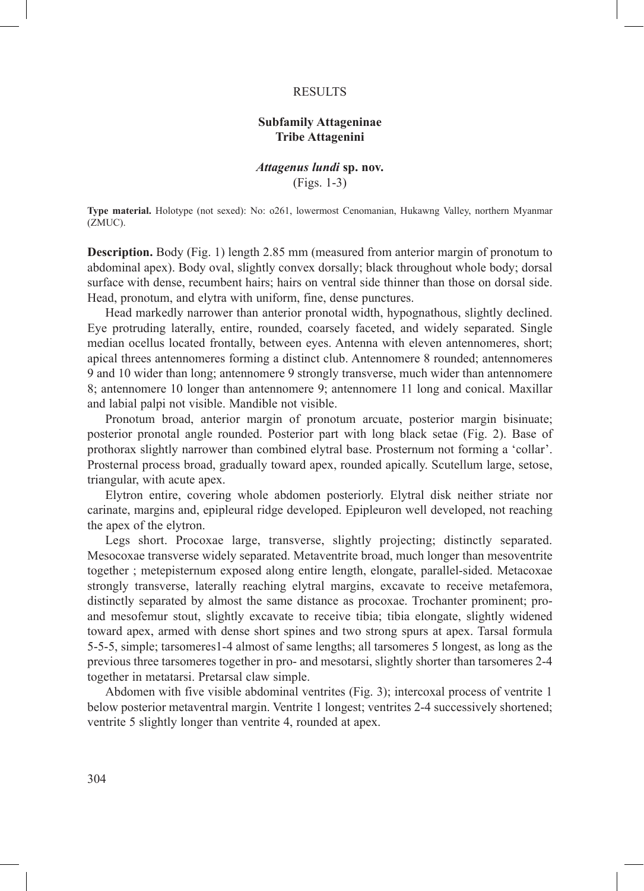#### **RESULTS**

## **Subfamily Attageninae Tribe Attagenini**

### *Attagenus lundi* **sp. nov.** (Figs. 1-3)

**Type material.** Holotype (not sexed): No: o261, lowermost Cenomanian, Hukawng Valley, northern Myanmar (ZMUC).

**Description.** Body (Fig. 1) length 2.85 mm (measured from anterior margin of pronotum to abdominal apex). Body oval, slightly convex dorsally; black throughout whole body; dorsal surface with dense, recumbent hairs; hairs on ventral side thinner than those on dorsal side. Head, pronotum, and elytra with uniform, fine, dense punctures.

Head markedly narrower than anterior pronotal width, hypognathous, slightly declined. Eye protruding laterally, entire, rounded, coarsely faceted, and widely separated. Single median ocellus located frontally, between eyes. Antenna with eleven antennomeres, short; apical threes antennomeres forming a distinct club. Antennomere 8 rounded; antennomeres 9 and 10 wider than long; antennomere 9 strongly transverse, much wider than antennomere 8; antennomere 10 longer than antennomere 9; antennomere 11 long and conical. Maxillar and labial palpi not visible. Mandible not visible.

Pronotum broad, anterior margin of pronotum arcuate, posterior margin bisinuate; posterior pronotal angle rounded. Posterior part with long black setae (Fig. 2). Base of prothorax slightly narrower than combined elytral base. Prosternum not forming a 'collar'. Prosternal process broad, gradually toward apex, rounded apically. Scutellum large, setose, triangular, with acute apex.

Elytron entire, covering whole abdomen posteriorly. Elytral disk neither striate nor carinate, margins and, epipleural ridge developed. Epipleuron well developed, not reaching the apex of the elytron.

Legs short. Procoxae large, transverse, slightly projecting; distinctly separated. Mesocoxae transverse widely separated. Metaventrite broad, much longer than mesoventrite together ; metepisternum exposed along entire length, elongate, parallel-sided. Metacoxae strongly transverse, laterally reaching elytral margins, excavate to receive metafemora, distinctly separated by almost the same distance as procoxae. Trochanter prominent; proand mesofemur stout, slightly excavate to receive tibia; tibia elongate, slightly widened toward apex, armed with dense short spines and two strong spurs at apex. Tarsal formula 5-5-5, simple; tarsomeres1-4 almost of same lengths; all tarsomeres 5 longest, as long as the previous three tarsomeres together in pro- and mesotarsi, slightly shorter than tarsomeres 2-4 together in metatarsi. Pretarsal claw simple.

Abdomen with five visible abdominal ventrites (Fig. 3); intercoxal process of ventrite 1 below posterior metaventral margin. Ventrite 1 longest; ventrites 2-4 successively shortened; ventrite 5 slightly longer than ventrite 4, rounded at apex.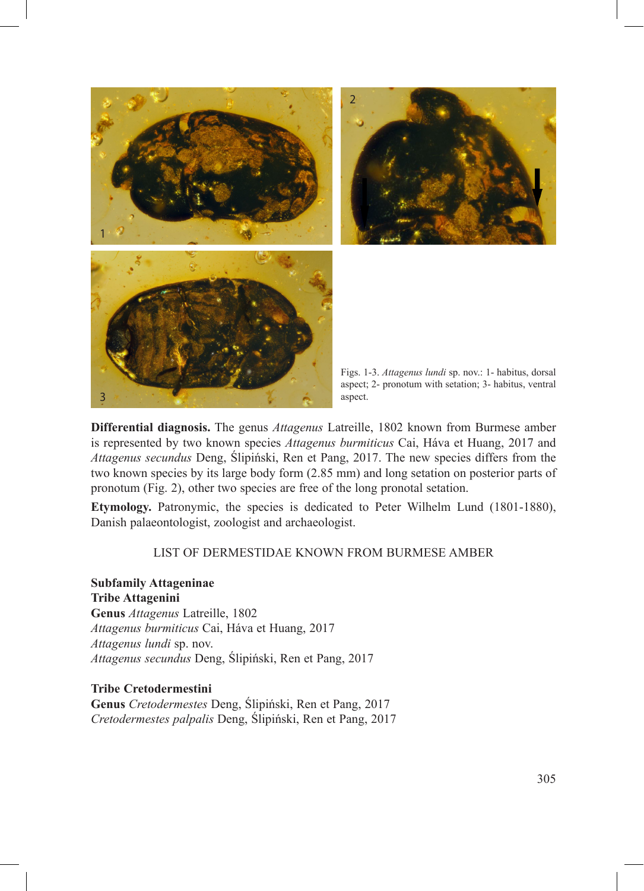

**Differential diagnosis.** The genus *Attagenus* Latreille, 1802 known from Burmese amber is represented by two known species *Attagenus burmiticus* Cai, Háva et Huang, 2017 and *Attagenus secundus* Deng, Ślipiński, Ren et Pang, 2017. The new species differs from the two known species by its large body form (2.85 mm) and long setation on posterior parts of pronotum (Fig. 2), other two species are free of the long pronotal setation.

**Etymology.** Patronymic, the species is dedicated to Peter Wilhelm Lund (1801-1880), Danish palaeontologist, zoologist and archaeologist.

## LIST OF DERMESTIDAE KNOWN FROM BURMESE AMBER

**Subfamily Attageninae Tribe Attagenini Genus** *Attagenus* Latreille, 1802 *Attagenus burmiticus* Cai, Háva et Huang, 2017 *Attagenus lundi* sp. nov. *Attagenus secundus* Deng, Ślipiński, Ren et Pang, 2017

**Tribe Cretodermestini Genus** *Cretodermestes* Deng, Ślipiński, Ren et Pang, 2017 *Cretodermestes palpalis* Deng, Ślipiński, Ren et Pang, 2017